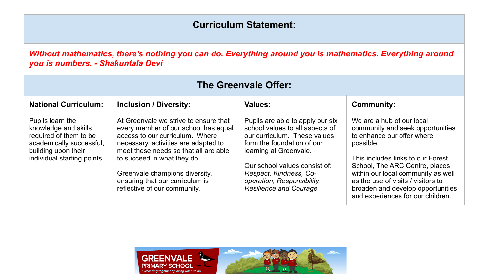## **Curriculum Statement:**

*Without mathematics, there's nothing you can do. Everything around you is mathematics. Everything around you is numbers. - Shakuntala Devi*

| <b>The Greenvale Offer:</b>                                                                                                                          |                                                                                                                                                                                                                                                                                                                                       |                                                                                                                                                                                                                                                                                 |                                                                                                                                                                                                                                                                                                                                       |  |  |
|------------------------------------------------------------------------------------------------------------------------------------------------------|---------------------------------------------------------------------------------------------------------------------------------------------------------------------------------------------------------------------------------------------------------------------------------------------------------------------------------------|---------------------------------------------------------------------------------------------------------------------------------------------------------------------------------------------------------------------------------------------------------------------------------|---------------------------------------------------------------------------------------------------------------------------------------------------------------------------------------------------------------------------------------------------------------------------------------------------------------------------------------|--|--|
| <b>National Curriculum:</b>                                                                                                                          | <b>Inclusion / Diversity:</b>                                                                                                                                                                                                                                                                                                         | <b>Values:</b>                                                                                                                                                                                                                                                                  | <b>Community:</b>                                                                                                                                                                                                                                                                                                                     |  |  |
| Pupils learn the<br>knowledge and skills<br>required of them to be<br>academically successful,<br>building upon their<br>individual starting points. | At Greenvale we strive to ensure that<br>every member of our school has equal<br>access to our curriculum. Where<br>necessary, activities are adapted to<br>meet these needs so that all are able<br>to succeed in what they do.<br>Greenvale champions diversity,<br>ensuring that our curriculum is<br>reflective of our community. | Pupils are able to apply our six<br>school values to all aspects of<br>our curriculum. These values<br>form the foundation of our<br>learning at Greenvale.<br>Our school values consist of:<br>Respect, Kindness, Co-<br>operation, Responsibility,<br>Resilience and Courage. | We are a hub of our local<br>community and seek opportunities<br>to enhance our offer where<br>possible.<br>This includes links to our Forest<br>School, The ARC Centre, places<br>within our local community as well<br>as the use of visits / visitors to<br>broaden and develop opportunities<br>and experiences for our children. |  |  |

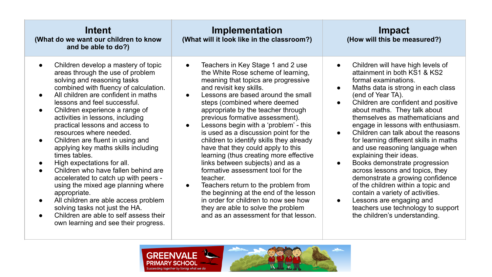| Intent<br>(What do we want our children to know<br>and be able to do?)                                                                                                                                                                                                                                                                                                                                                                                                                                                                                                                                                                                                                                                                                                                                          | Implementation<br>(What will it look like in the classroom?)                                                                                                                                                                                                                                                                                                                                                                                                                                                                                                                                                                                                                                                                                                                                                                                            | <b>Impact</b><br>(How will this be measured?)                                                                                                                                                                                                                                                                                                                                                                                                                                                                                                                                                                                                                                                                                                                                                                           |
|-----------------------------------------------------------------------------------------------------------------------------------------------------------------------------------------------------------------------------------------------------------------------------------------------------------------------------------------------------------------------------------------------------------------------------------------------------------------------------------------------------------------------------------------------------------------------------------------------------------------------------------------------------------------------------------------------------------------------------------------------------------------------------------------------------------------|---------------------------------------------------------------------------------------------------------------------------------------------------------------------------------------------------------------------------------------------------------------------------------------------------------------------------------------------------------------------------------------------------------------------------------------------------------------------------------------------------------------------------------------------------------------------------------------------------------------------------------------------------------------------------------------------------------------------------------------------------------------------------------------------------------------------------------------------------------|-------------------------------------------------------------------------------------------------------------------------------------------------------------------------------------------------------------------------------------------------------------------------------------------------------------------------------------------------------------------------------------------------------------------------------------------------------------------------------------------------------------------------------------------------------------------------------------------------------------------------------------------------------------------------------------------------------------------------------------------------------------------------------------------------------------------------|
| Children develop a mastery of topic<br>areas through the use of problem<br>solving and reasoning tasks<br>combined with fluency of calculation.<br>All children are confident in maths<br>lessons and feel successful.<br>Children experience a range of<br>$\bullet$<br>activities in lessons, including<br>practical lessons and access to<br>resources where needed.<br>Children are fluent in using and<br>$\bullet$<br>applying key maths skills including<br>times tables.<br>High expectations for all.<br>Children who have fallen behind are<br>accelerated to catch up with peers -<br>using the mixed age planning where<br>appropriate.<br>All children are able access problem<br>solving tasks not just the HA.<br>Children are able to self assess their<br>own learning and see their progress. | Teachers in Key Stage 1 and 2 use<br>$\bullet$<br>the White Rose scheme of learning,<br>meaning that topics are progressive<br>and revisit key skills.<br>Lessons are based around the small<br>$\bullet$<br>steps (combined where deemed<br>appropriate by the teacher through<br>previous formative assessment).<br>Lessons begin with a 'problem' - this<br>$\bullet$<br>is used as a discussion point for the<br>children to identify skills they already<br>have that they could apply to this<br>learning (thus creating more effective<br>links between subjects) and as a<br>formative assessment tool for the<br>teacher.<br>Teachers return to the problem from<br>$\bullet$<br>the beginning at the end of the lesson<br>in order for children to now see how<br>they are able to solve the problem<br>and as an assessment for that lesson. | Children will have high levels of<br>$\bullet$<br>attainment in both KS1 & KS2<br>formal examinations.<br>Maths data is strong in each class<br>$\bullet$<br>(end of Year TA).<br>Children are confident and positive<br>$\bullet$<br>about maths. They talk about<br>themselves as mathematicians and<br>engage in lessons with enthusiasm.<br>Children can talk about the reasons<br>$\bullet$<br>for learning different skills in maths<br>and use reasoning language when<br>explaining their ideas.<br>Books demonstrate progression<br>$\bullet$<br>across lessons and topics, they<br>demonstrate a growing confidence<br>of the children within a topic and<br>contain a variety of activities.<br>Lessons are engaging and<br>$\bullet$<br>teachers use technology to support<br>the children's understanding. |
|                                                                                                                                                                                                                                                                                                                                                                                                                                                                                                                                                                                                                                                                                                                                                                                                                 |                                                                                                                                                                                                                                                                                                                                                                                                                                                                                                                                                                                                                                                                                                                                                                                                                                                         |                                                                                                                                                                                                                                                                                                                                                                                                                                                                                                                                                                                                                                                                                                                                                                                                                         |